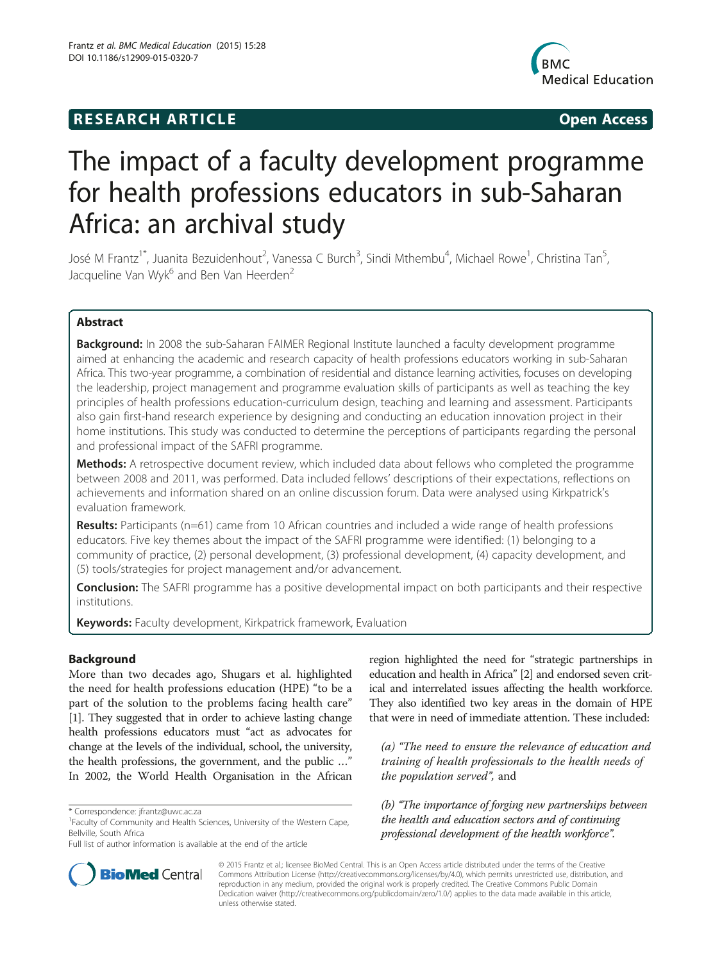# **RESEARCH ARTICLE Example 2014 CONSIDERING CONSIDERING CONSIDERING CONSIDERING CONSIDERING CONSIDERING CONSIDERING CONSIDERING CONSIDERING CONSIDERING CONSIDERING CONSIDERING CONSIDERING CONSIDERING CONSIDERING CONSIDE**



# The impact of a faculty development programme for health professions educators in sub-Saharan Africa: an archival study

José M Frantz<sup>1\*</sup>, Juanita Bezuidenhout<sup>2</sup>, Vanessa C Burch<sup>3</sup>, Sindi Mthembu<sup>4</sup>, Michael Rowe<sup>1</sup>, Christina Tan<sup>5</sup> , Jacqueline Van Wyk<sup>6</sup> and Ben Van Heerden<sup>2</sup>

# Abstract

**Background:** In 2008 the sub-Saharan FAIMER Regional Institute launched a faculty development programme aimed at enhancing the academic and research capacity of health professions educators working in sub-Saharan Africa. This two-year programme, a combination of residential and distance learning activities, focuses on developing the leadership, project management and programme evaluation skills of participants as well as teaching the key principles of health professions education-curriculum design, teaching and learning and assessment. Participants also gain first-hand research experience by designing and conducting an education innovation project in their home institutions. This study was conducted to determine the perceptions of participants regarding the personal and professional impact of the SAFRI programme.

Methods: A retrospective document review, which included data about fellows who completed the programme between 2008 and 2011, was performed. Data included fellows' descriptions of their expectations, reflections on achievements and information shared on an online discussion forum. Data were analysed using Kirkpatrick's evaluation framework.

Results: Participants (n=61) came from 10 African countries and included a wide range of health professions educators. Five key themes about the impact of the SAFRI programme were identified: (1) belonging to a community of practice, (2) personal development, (3) professional development, (4) capacity development, and (5) tools/strategies for project management and/or advancement.

**Conclusion:** The SAFRI programme has a positive developmental impact on both participants and their respective institutions.

**Keywords:** Faculty development, Kirkpatrick framework, Evaluation

# Background

More than two decades ago, Shugars et al. highlighted the need for health professions education (HPE) "to be a part of the solution to the problems facing health care" [[1](#page-7-0)]. They suggested that in order to achieve lasting change health professions educators must "act as advocates for change at the levels of the individual, school, the university, the health professions, the government, and the public …" In 2002, the World Health Organisation in the African

region highlighted the need for "strategic partnerships in education and health in Africa" [\[2\]](#page-7-0) and endorsed seven critical and interrelated issues affecting the health workforce. They also identified two key areas in the domain of HPE that were in need of immediate attention. These included:

(a) "The need to ensure the relevance of education and training of health professionals to the health needs of the population served", and

(b) "The importance of forging new partnerships between the health and education sectors and of continuing professional development of the health workforce".



© 2015 Frantz et al.; licensee BioMed Central. This is an Open Access article distributed under the terms of the Creative Commons Attribution License [\(http://creativecommons.org/licenses/by/4.0\)](http://creativecommons.org/licenses/by/4.0), which permits unrestricted use, distribution, and reproduction in any medium, provided the original work is properly credited. The Creative Commons Public Domain Dedication waiver [\(http://creativecommons.org/publicdomain/zero/1.0/](http://creativecommons.org/publicdomain/zero/1.0/)) applies to the data made available in this article, unless otherwise stated.

<sup>\*</sup> Correspondence: [jfrantz@uwc.ac.za](mailto:jfrantz@uwc.ac.za) <sup>1</sup>

<sup>&</sup>lt;sup>1</sup> Faculty of Community and Health Sciences, University of the Western Cape, Bellville, South Africa

Full list of author information is available at the end of the article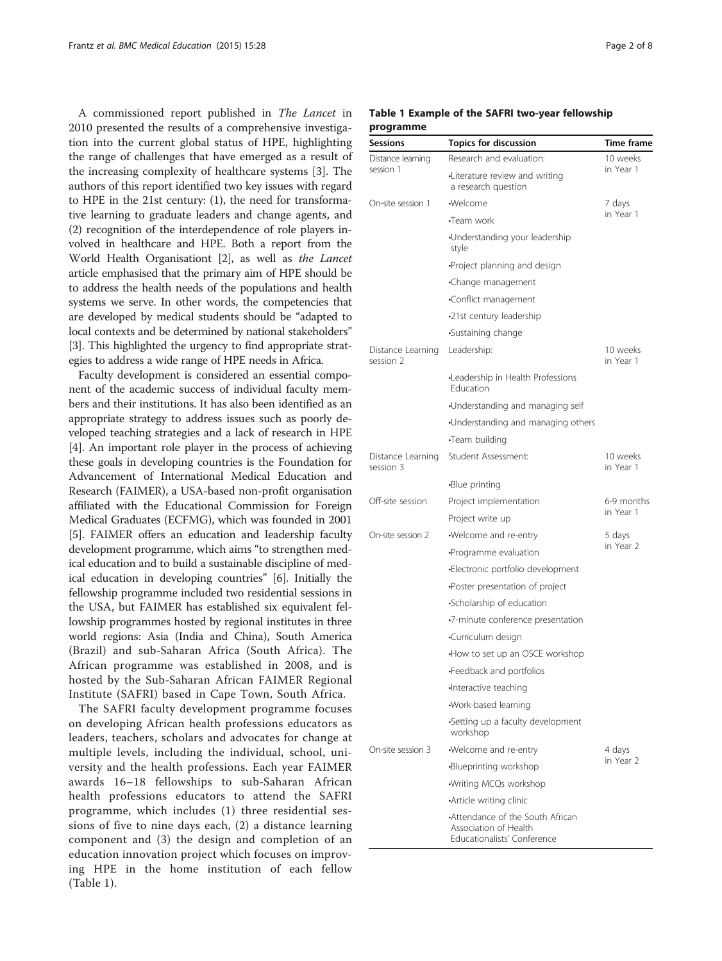<span id="page-1-0"></span>A commissioned report published in The Lancet in 2010 presented the results of a comprehensive investigation into the current global status of HPE, highlighting the range of challenges that have emerged as a result of the increasing complexity of healthcare systems [[3\]](#page-7-0). The authors of this report identified two key issues with regard to HPE in the 21st century: (1), the need for transformative learning to graduate leaders and change agents, and (2) recognition of the interdependence of role players involved in healthcare and HPE. Both a report from the World Health Organisationt [\[2\]](#page-7-0), as well as the Lancet article emphasised that the primary aim of HPE should be to address the health needs of the populations and health systems we serve. In other words, the competencies that are developed by medical students should be "adapted to local contexts and be determined by national stakeholders" [[3\]](#page-7-0). This highlighted the urgency to find appropriate strategies to address a wide range of HPE needs in Africa.

Faculty development is considered an essential component of the academic success of individual faculty members and their institutions. It has also been identified as an appropriate strategy to address issues such as poorly developed teaching strategies and a lack of research in HPE [[4\]](#page-7-0). An important role player in the process of achieving these goals in developing countries is the Foundation for Advancement of International Medical Education and Research (FAIMER), a USA-based non-profit organisation affiliated with the Educational Commission for Foreign Medical Graduates (ECFMG), which was founded in 2001 [[5\]](#page-7-0). FAIMER offers an education and leadership faculty development programme, which aims "to strengthen medical education and to build a sustainable discipline of medical education in developing countries" [\[6](#page-7-0)]. Initially the fellowship programme included two residential sessions in the USA, but FAIMER has established six equivalent fellowship programmes hosted by regional institutes in three world regions: Asia (India and China), South America (Brazil) and sub-Saharan Africa (South Africa). The African programme was established in 2008, and is hosted by the Sub-Saharan African FAIMER Regional Institute (SAFRI) based in Cape Town, South Africa.

The SAFRI faculty development programme focuses on developing African health professions educators as leaders, teachers, scholars and advocates for change at multiple levels, including the individual, school, university and the health professions. Each year FAIMER awards 16–18 fellowships to sub-Saharan African health professions educators to attend the SAFRI programme, which includes (1) three residential sessions of five to nine days each, (2) a distance learning component and (3) the design and completion of an education innovation project which focuses on improving HPE in the home institution of each fellow (Table 1).

# Table 1 Example of the SAFRI two-year fellowship programme

| <b>Sessions</b>                | <b>Topics for discussion</b>                                                             | <b>Time frame</b>       |  |
|--------------------------------|------------------------------------------------------------------------------------------|-------------------------|--|
| Distance learning<br>session 1 | Research and evaluation:                                                                 | 10 weeks<br>in Year 1   |  |
|                                | •Literature review and writing<br>a research question                                    |                         |  |
| On-site session 1              | ·Welcome                                                                                 | 7 days                  |  |
|                                | •Team work                                                                               | in Year 1               |  |
|                                | •Understanding your leadership<br>style                                                  |                         |  |
|                                | Project planning and design                                                              |                         |  |
|                                | •Change management                                                                       |                         |  |
|                                | Conflict management                                                                      |                         |  |
|                                | •21st century leadership                                                                 |                         |  |
|                                | Sustaining change                                                                        |                         |  |
| Distance Learning<br>session 2 | Leadership:                                                                              | 10 weeks<br>in Year 1   |  |
|                                | •Leadership in Health Professions<br><b>Education</b>                                    |                         |  |
|                                | •Understanding and managing self                                                         |                         |  |
|                                | •Understanding and managing others                                                       |                         |  |
|                                | •Team building                                                                           |                         |  |
| Distance Learning<br>session 3 | Student Assessment:                                                                      | 10 weeks<br>in Year 1   |  |
|                                | •Blue printing                                                                           |                         |  |
| Off-site session               | Project implementation                                                                   | 6-9 months<br>in Year 1 |  |
|                                | Project write up                                                                         |                         |  |
| On-site session 2              | Welcome and re-entry                                                                     | 5 days<br>in Year 2     |  |
|                                | •Programme evaluation                                                                    |                         |  |
|                                | ·Electronic portfolio development                                                        |                         |  |
|                                | ·Poster presentation of project                                                          |                         |  |
|                                | •Scholarship of education                                                                |                         |  |
|                                | -7-minute conference presentation                                                        |                         |  |
|                                | •Curriculum design                                                                       |                         |  |
|                                | . How to set up an OSCE workshop                                                         |                         |  |
|                                | -Feedback and portfolios                                                                 |                         |  |
|                                | Interactive teaching                                                                     |                         |  |
|                                | Work-based learning                                                                      |                         |  |
|                                | •Setting up a faculty development<br>workshop                                            |                         |  |
| On-site session 3              | Welcome and re-entry                                                                     | 4 days                  |  |
|                                | -Blueprinting workshop                                                                   | in Year 2               |  |
|                                | Writing MCQs workshop                                                                    |                         |  |
|                                | Article writing clinic                                                                   |                         |  |
|                                | •Attendance of the South African<br>Association of Health<br>Educationalists' Conference |                         |  |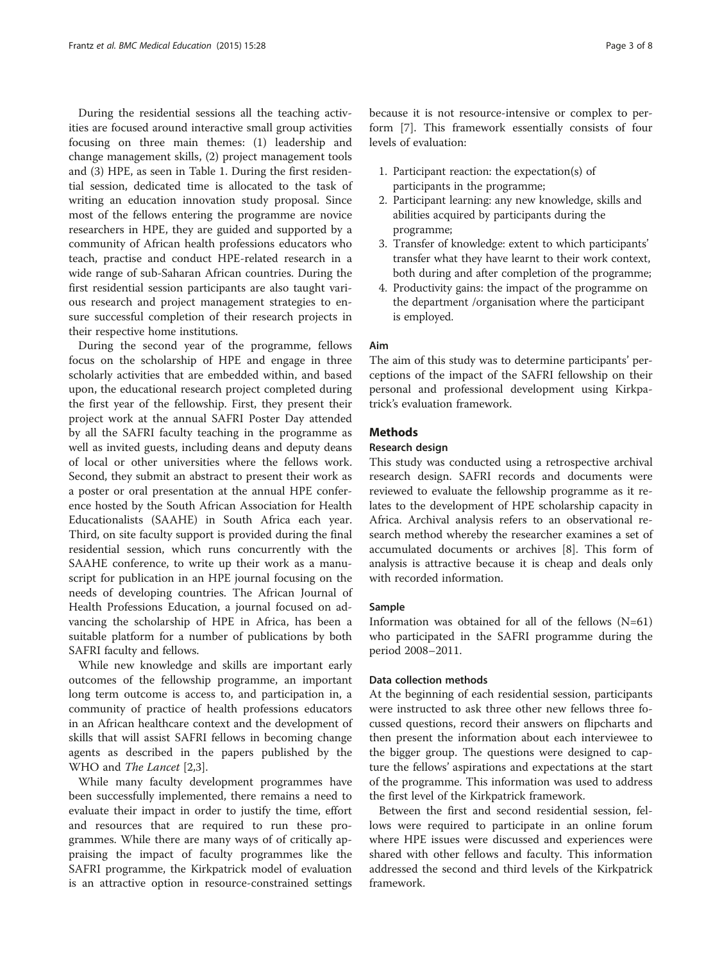During the residential sessions all the teaching activities are focused around interactive small group activities focusing on three main themes: (1) leadership and change management skills, (2) project management tools and (3) HPE, as seen in Table [1.](#page-1-0) During the first residential session, dedicated time is allocated to the task of writing an education innovation study proposal. Since most of the fellows entering the programme are novice researchers in HPE, they are guided and supported by a community of African health professions educators who teach, practise and conduct HPE-related research in a wide range of sub-Saharan African countries. During the first residential session participants are also taught various research and project management strategies to ensure successful completion of their research projects in their respective home institutions.

During the second year of the programme, fellows focus on the scholarship of HPE and engage in three scholarly activities that are embedded within, and based upon, the educational research project completed during the first year of the fellowship. First, they present their project work at the annual SAFRI Poster Day attended by all the SAFRI faculty teaching in the programme as well as invited guests, including deans and deputy deans of local or other universities where the fellows work. Second, they submit an abstract to present their work as a poster or oral presentation at the annual HPE conference hosted by the South African Association for Health Educationalists (SAAHE) in South Africa each year. Third, on site faculty support is provided during the final residential session, which runs concurrently with the SAAHE conference, to write up their work as a manuscript for publication in an HPE journal focusing on the needs of developing countries. The African Journal of Health Professions Education, a journal focused on advancing the scholarship of HPE in Africa, has been a suitable platform for a number of publications by both SAFRI faculty and fellows.

While new knowledge and skills are important early outcomes of the fellowship programme, an important long term outcome is access to, and participation in, a community of practice of health professions educators in an African healthcare context and the development of skills that will assist SAFRI fellows in becoming change agents as described in the papers published by the WHO and *The Lancet* [\[2](#page-7-0),[3](#page-7-0)].

While many faculty development programmes have been successfully implemented, there remains a need to evaluate their impact in order to justify the time, effort and resources that are required to run these programmes. While there are many ways of of critically appraising the impact of faculty programmes like the SAFRI programme, the Kirkpatrick model of evaluation is an attractive option in resource-constrained settings

because it is not resource-intensive or complex to perform [\[7](#page-7-0)]. This framework essentially consists of four levels of evaluation:

- 1. Participant reaction: the expectation(s) of participants in the programme;
- 2. Participant learning: any new knowledge, skills and abilities acquired by participants during the programme;
- 3. Transfer of knowledge: extent to which participants' transfer what they have learnt to their work context, both during and after completion of the programme;
- 4. Productivity gains: the impact of the programme on the department /organisation where the participant is employed.

### Aim

The aim of this study was to determine participants' perceptions of the impact of the SAFRI fellowship on their personal and professional development using Kirkpatrick's evaluation framework.

# **Methods**

# Research design

This study was conducted using a retrospective archival research design. SAFRI records and documents were reviewed to evaluate the fellowship programme as it relates to the development of HPE scholarship capacity in Africa. Archival analysis refers to an observational research method whereby the researcher examines a set of accumulated documents or archives [\[8\]](#page-7-0). This form of analysis is attractive because it is cheap and deals only with recorded information.

# Sample

Information was obtained for all of the fellows  $(N=61)$ who participated in the SAFRI programme during the period 2008–2011.

# Data collection methods

At the beginning of each residential session, participants were instructed to ask three other new fellows three focussed questions, record their answers on flipcharts and then present the information about each interviewee to the bigger group. The questions were designed to capture the fellows' aspirations and expectations at the start of the programme. This information was used to address the first level of the Kirkpatrick framework.

Between the first and second residential session, fellows were required to participate in an online forum where HPE issues were discussed and experiences were shared with other fellows and faculty. This information addressed the second and third levels of the Kirkpatrick framework.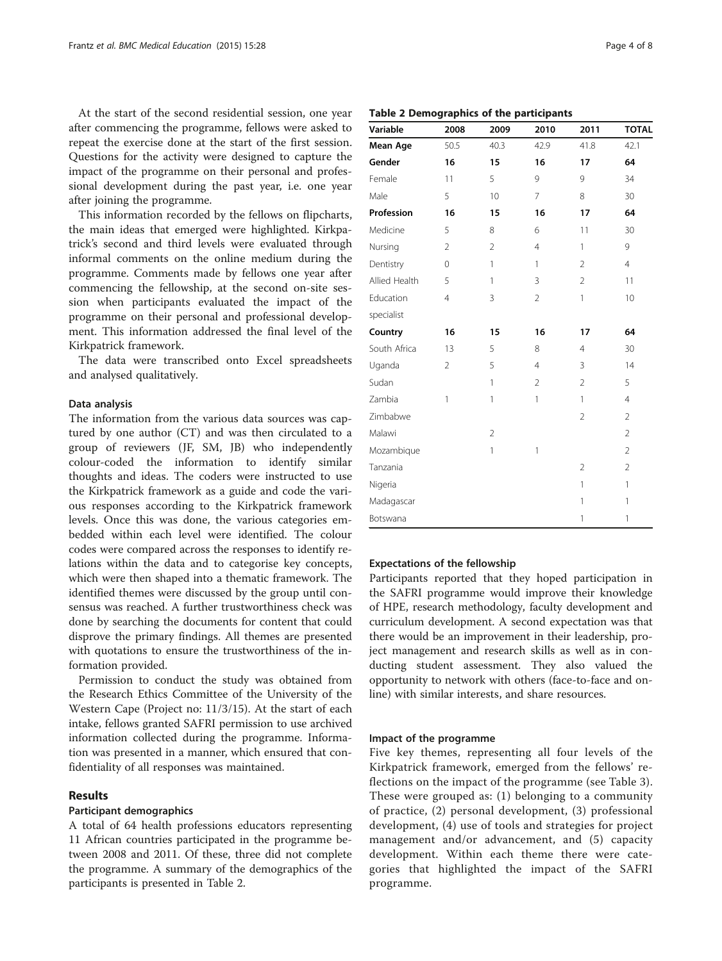At the start of the second residential session, one year after commencing the programme, fellows were asked to repeat the exercise done at the start of the first session. Questions for the activity were designed to capture the impact of the programme on their personal and professional development during the past year, i.e. one year after joining the programme.

This information recorded by the fellows on flipcharts, the main ideas that emerged were highlighted. Kirkpatrick's second and third levels were evaluated through informal comments on the online medium during the programme. Comments made by fellows one year after commencing the fellowship, at the second on-site session when participants evaluated the impact of the programme on their personal and professional development. This information addressed the final level of the Kirkpatrick framework.

The data were transcribed onto Excel spreadsheets and analysed qualitatively.

#### Data analysis

The information from the various data sources was captured by one author (CT) and was then circulated to a group of reviewers (JF, SM, JB) who independently colour-coded the information to identify similar thoughts and ideas. The coders were instructed to use the Kirkpatrick framework as a guide and code the various responses according to the Kirkpatrick framework levels. Once this was done, the various categories embedded within each level were identified. The colour codes were compared across the responses to identify relations within the data and to categorise key concepts, which were then shaped into a thematic framework. The identified themes were discussed by the group until consensus was reached. A further trustworthiness check was done by searching the documents for content that could disprove the primary findings. All themes are presented with quotations to ensure the trustworthiness of the information provided.

Permission to conduct the study was obtained from the Research Ethics Committee of the University of the Western Cape (Project no: 11/3/15). At the start of each intake, fellows granted SAFRI permission to use archived information collected during the programme. Information was presented in a manner, which ensured that confidentiality of all responses was maintained.

# Results

#### Participant demographics

A total of 64 health professions educators representing 11 African countries participated in the programme between 2008 and 2011. Of these, three did not complete the programme. A summary of the demographics of the participants is presented in Table 2.

| Variable      | 2008           | 2009           | 2010           | 2011           | TOTAL          |
|---------------|----------------|----------------|----------------|----------------|----------------|
| Mean Age      | 50.5           | 40.3           | 42.9           | 41.8           | 42.1           |
| Gender        | 16             | 15             | 16             | 17             | 64             |
| Female        | 11             | 5              | 9              | 9              | 34             |
| Male          | 5              | 10             | $\overline{7}$ | 8              | 30             |
| Profession    | 16             | 15             | 16             | 17             | 64             |
| Medicine      | 5              | 8              | 6              | 11             | 30             |
| Nursing       | $\overline{2}$ | $\overline{2}$ | $\overline{4}$ | 1              | 9              |
| Dentistry     | $\Omega$       | $\mathbf{1}$   | $\mathbf{1}$   | $\overline{2}$ | $\overline{4}$ |
| Allied Health | 5              | 1              | 3              | $\overline{2}$ | 11             |
| Education     | $\overline{4}$ | 3              | $\overline{2}$ | 1              | 10             |
| specialist    |                |                |                |                |                |
| Country       | 16             | 15             | 16             | 17             | 64             |
| South Africa  | 13             | 5              | 8              | $\overline{4}$ | 30             |
| Uganda        | $\overline{2}$ | 5              | $\overline{4}$ | 3              | 14             |
| Sudan         |                | $\mathbf{1}$   | $\overline{2}$ | $\overline{2}$ | 5              |
| Zambia        | 1              | 1              | 1              | 1              | 4              |
| Zimbabwe      |                |                |                | $\overline{2}$ | $\overline{2}$ |
| Malawi        |                | $\overline{2}$ |                |                | $\overline{2}$ |
| Mozambique    |                | 1              | 1              |                | $\overline{2}$ |
| Tanzania      |                |                |                | $\overline{2}$ | $\overline{2}$ |
| Nigeria       |                |                |                | 1              | 1              |
| Madagascar    |                |                |                | 1              | 1              |
| Botswana      |                |                |                | 1              | 1              |

# Expectations of the fellowship

Participants reported that they hoped participation in the SAFRI programme would improve their knowledge of HPE, research methodology, faculty development and curriculum development. A second expectation was that there would be an improvement in their leadership, project management and research skills as well as in conducting student assessment. They also valued the opportunity to network with others (face-to-face and online) with similar interests, and share resources.

#### Impact of the programme

Five key themes, representing all four levels of the Kirkpatrick framework, emerged from the fellows' reflections on the impact of the programme (see Table [3](#page-4-0)). These were grouped as: (1) belonging to a community of practice, (2) personal development, (3) professional development, (4) use of tools and strategies for project management and/or advancement, and (5) capacity development. Within each theme there were categories that highlighted the impact of the SAFRI programme.

#### Table 2 Demographics of the participants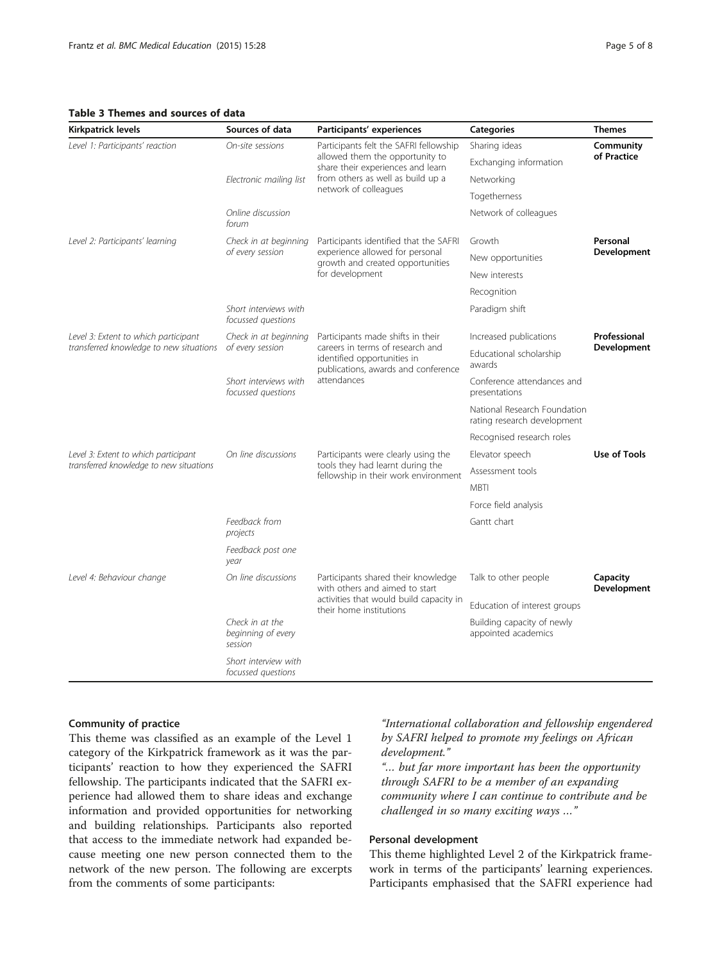# <span id="page-4-0"></span>Table 3 Themes and sources of data

| Kirkpatrick levels                                                              | Sources of data                                                                          | Participants' experiences                                                                                                                                                    | <b>Categories</b>                                           | <b>Themes</b>                      |  |
|---------------------------------------------------------------------------------|------------------------------------------------------------------------------------------|------------------------------------------------------------------------------------------------------------------------------------------------------------------------------|-------------------------------------------------------------|------------------------------------|--|
| Level 1: Participants' reaction                                                 | On-site sessions                                                                         | Participants felt the SAFRI fellowship<br>allowed them the opportunity to<br>share their experiences and learn<br>from others as well as build up a<br>network of colleagues | Sharing ideas                                               | Community<br>of Practice           |  |
|                                                                                 |                                                                                          |                                                                                                                                                                              | Exchanging information                                      |                                    |  |
|                                                                                 | Electronic mailing list<br>Online discussion<br>forum                                    |                                                                                                                                                                              | Networking                                                  |                                    |  |
|                                                                                 |                                                                                          |                                                                                                                                                                              | Togetherness                                                |                                    |  |
|                                                                                 |                                                                                          |                                                                                                                                                                              | Network of colleagues                                       |                                    |  |
| Level 2: Participants' learning                                                 | Check in at beginning<br>of every session<br>Short interviews with<br>focussed questions | Participants identified that the SAFRI<br>experience allowed for personal<br>growth and created opportunities<br>for development                                             | Growth                                                      | Personal<br>Development            |  |
|                                                                                 |                                                                                          |                                                                                                                                                                              | New opportunities                                           |                                    |  |
|                                                                                 |                                                                                          |                                                                                                                                                                              | New interests                                               |                                    |  |
|                                                                                 |                                                                                          |                                                                                                                                                                              | Recognition                                                 |                                    |  |
|                                                                                 |                                                                                          |                                                                                                                                                                              | Paradigm shift                                              |                                    |  |
| Level 3: Extent to which participant<br>transferred knowledge to new situations | Check in at beginning<br>of every session                                                | Participants made shifts in their<br>careers in terms of research and<br>identified opportunities in<br>publications, awards and conference<br>attendances                   | Increased publications                                      | Professional<br><b>Development</b> |  |
|                                                                                 |                                                                                          |                                                                                                                                                                              | Educational scholarship<br>awards                           |                                    |  |
|                                                                                 | Short interviews with<br>focussed questions                                              |                                                                                                                                                                              | Conference attendances and<br>presentations                 |                                    |  |
|                                                                                 |                                                                                          |                                                                                                                                                                              | National Research Foundation<br>rating research development |                                    |  |
|                                                                                 |                                                                                          |                                                                                                                                                                              | Recognised research roles                                   |                                    |  |
| Level 3: Extent to which participant                                            | On line discussions                                                                      | Participants were clearly using the<br>tools they had learnt during the<br>fellowship in their work environment                                                              | Elevator speech                                             | Use of Tools                       |  |
| transferred knowledge to new situations                                         |                                                                                          |                                                                                                                                                                              | Assessment tools                                            |                                    |  |
|                                                                                 |                                                                                          |                                                                                                                                                                              | <b>MBTI</b>                                                 |                                    |  |
|                                                                                 |                                                                                          |                                                                                                                                                                              | Force field analysis                                        |                                    |  |
|                                                                                 | Feedback from<br>projects                                                                |                                                                                                                                                                              | Gantt chart                                                 |                                    |  |
|                                                                                 | Feedback post one<br>year                                                                |                                                                                                                                                                              |                                                             |                                    |  |
| Level 4: Behaviour change                                                       | On line discussions                                                                      | Participants shared their knowledge<br>with others and aimed to start<br>activities that would build capacity in<br>their home institutions                                  | Talk to other people                                        | Capacity<br><b>Development</b>     |  |
|                                                                                 |                                                                                          |                                                                                                                                                                              | Education of interest groups                                |                                    |  |
|                                                                                 | Check in at the<br>beginning of every<br>session                                         |                                                                                                                                                                              | Building capacity of newly<br>appointed academics           |                                    |  |
|                                                                                 | Short interview with<br>focussed questions                                               |                                                                                                                                                                              |                                                             |                                    |  |

### Community of practice

This theme was classified as an example of the Level 1 category of the Kirkpatrick framework as it was the participants' reaction to how they experienced the SAFRI fellowship. The participants indicated that the SAFRI experience had allowed them to share ideas and exchange information and provided opportunities for networking and building relationships. Participants also reported that access to the immediate network had expanded because meeting one new person connected them to the network of the new person. The following are excerpts from the comments of some participants:

"International collaboration and fellowship engendered by SAFRI helped to promote my feelings on African development."

"… but far more important has been the opportunity through SAFRI to be a member of an expanding community where I can continue to contribute and be challenged in so many exciting ways …"

# Personal development

This theme highlighted Level 2 of the Kirkpatrick framework in terms of the participants' learning experiences. Participants emphasised that the SAFRI experience had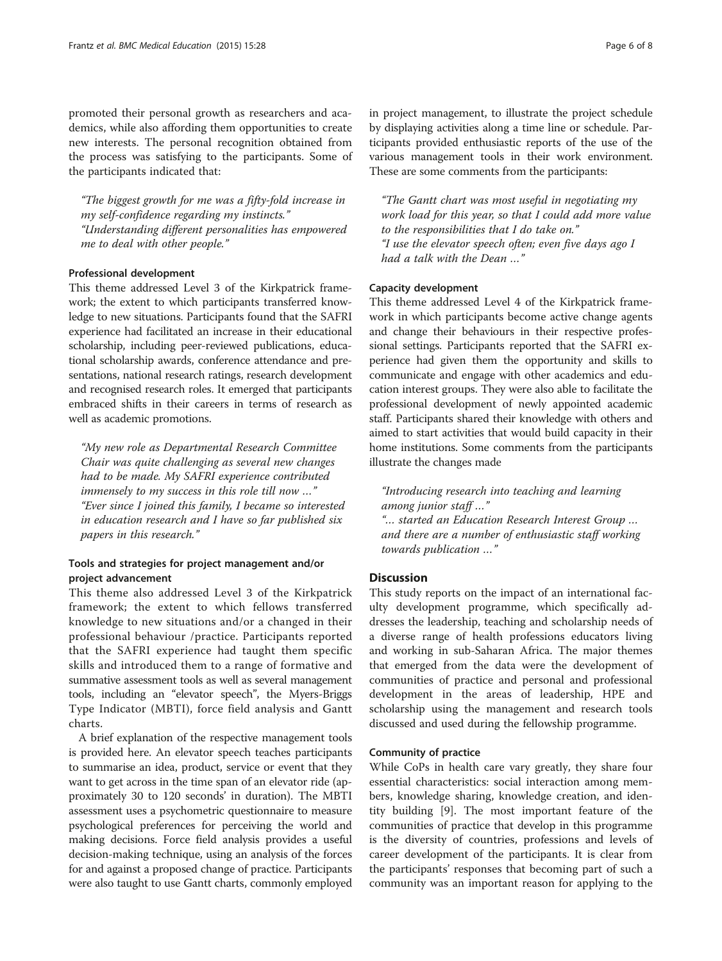promoted their personal growth as researchers and academics, while also affording them opportunities to create new interests. The personal recognition obtained from the process was satisfying to the participants. Some of the participants indicated that:

"The biggest growth for me was a fifty-fold increase in my self-confidence regarding my instincts." "Understanding different personalities has empowered me to deal with other people."

# Professional development

This theme addressed Level 3 of the Kirkpatrick framework; the extent to which participants transferred knowledge to new situations. Participants found that the SAFRI experience had facilitated an increase in their educational scholarship, including peer-reviewed publications, educational scholarship awards, conference attendance and presentations, national research ratings, research development and recognised research roles. It emerged that participants embraced shifts in their careers in terms of research as well as academic promotions.

"My new role as Departmental Research Committee Chair was quite challenging as several new changes had to be made. My SAFRI experience contributed immensely to my success in this role till now …" "Ever since I joined this family, I became so interested in education research and I have so far published six papers in this research."

# Tools and strategies for project management and/or project advancement

This theme also addressed Level 3 of the Kirkpatrick framework; the extent to which fellows transferred knowledge to new situations and/or a changed in their professional behaviour /practice. Participants reported that the SAFRI experience had taught them specific skills and introduced them to a range of formative and summative assessment tools as well as several management tools, including an "elevator speech", the Myers-Briggs Type Indicator (MBTI), force field analysis and Gantt charts.

A brief explanation of the respective management tools is provided here. An elevator speech teaches participants to summarise an idea, product, service or event that they want to get across in the time span of an elevator ride (approximately 30 to 120 seconds' in duration). The MBTI assessment uses a psychometric questionnaire to measure psychological preferences for perceiving the world and making decisions. Force field analysis provides a useful decision-making technique, using an analysis of the forces for and against a proposed change of practice. Participants were also taught to use Gantt charts, commonly employed in project management, to illustrate the project schedule by displaying activities along a time line or schedule. Participants provided enthusiastic reports of the use of the various management tools in their work environment. These are some comments from the participants:

"The Gantt chart was most useful in negotiating my work load for this year, so that I could add more value to the responsibilities that I do take on." "I use the elevator speech often; even five days ago I had a talk with the Dean …"

#### Capacity development

This theme addressed Level 4 of the Kirkpatrick framework in which participants become active change agents and change their behaviours in their respective professional settings. Participants reported that the SAFRI experience had given them the opportunity and skills to communicate and engage with other academics and education interest groups. They were also able to facilitate the professional development of newly appointed academic staff. Participants shared their knowledge with others and aimed to start activities that would build capacity in their home institutions. Some comments from the participants illustrate the changes made

"Introducing research into teaching and learning among junior staff …" "… started an Education Research Interest Group … and there are a number of enthusiastic staff working towards publication …"

# **Discussion**

This study reports on the impact of an international faculty development programme, which specifically addresses the leadership, teaching and scholarship needs of a diverse range of health professions educators living and working in sub-Saharan Africa. The major themes that emerged from the data were the development of communities of practice and personal and professional development in the areas of leadership, HPE and scholarship using the management and research tools discussed and used during the fellowship programme.

#### Community of practice

While CoPs in health care vary greatly, they share four essential characteristics: social interaction among members, knowledge sharing, knowledge creation, and identity building [\[9](#page-7-0)]. The most important feature of the communities of practice that develop in this programme is the diversity of countries, professions and levels of career development of the participants. It is clear from the participants' responses that becoming part of such a community was an important reason for applying to the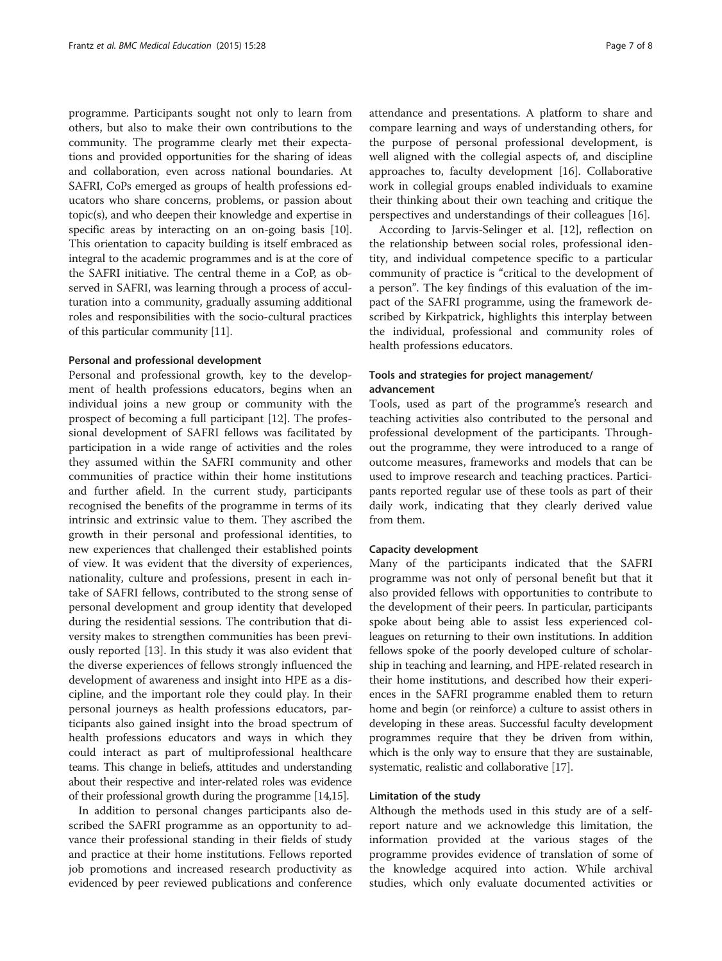programme. Participants sought not only to learn from others, but also to make their own contributions to the community. The programme clearly met their expectations and provided opportunities for the sharing of ideas and collaboration, even across national boundaries. At SAFRI, CoPs emerged as groups of health professions educators who share concerns, problems, or passion about topic(s), and who deepen their knowledge and expertise in specific areas by interacting on an on-going basis [[10](#page-7-0)]. This orientation to capacity building is itself embraced as integral to the academic programmes and is at the core of the SAFRI initiative. The central theme in a CoP, as observed in SAFRI, was learning through a process of acculturation into a community, gradually assuming additional roles and responsibilities with the socio-cultural practices of this particular community [\[11\]](#page-7-0).

#### Personal and professional development

Personal and professional growth, key to the development of health professions educators, begins when an individual joins a new group or community with the prospect of becoming a full participant [\[12\]](#page-7-0). The professional development of SAFRI fellows was facilitated by participation in a wide range of activities and the roles they assumed within the SAFRI community and other communities of practice within their home institutions and further afield. In the current study, participants recognised the benefits of the programme in terms of its intrinsic and extrinsic value to them. They ascribed the growth in their personal and professional identities, to new experiences that challenged their established points of view. It was evident that the diversity of experiences, nationality, culture and professions, present in each intake of SAFRI fellows, contributed to the strong sense of personal development and group identity that developed during the residential sessions. The contribution that diversity makes to strengthen communities has been previously reported [\[13](#page-7-0)]. In this study it was also evident that the diverse experiences of fellows strongly influenced the development of awareness and insight into HPE as a discipline, and the important role they could play. In their personal journeys as health professions educators, participants also gained insight into the broad spectrum of health professions educators and ways in which they could interact as part of multiprofessional healthcare teams. This change in beliefs, attitudes and understanding about their respective and inter-related roles was evidence of their professional growth during the programme [\[14,15\]](#page-7-0).

In addition to personal changes participants also described the SAFRI programme as an opportunity to advance their professional standing in their fields of study and practice at their home institutions. Fellows reported job promotions and increased research productivity as evidenced by peer reviewed publications and conference attendance and presentations. A platform to share and compare learning and ways of understanding others, for the purpose of personal professional development, is well aligned with the collegial aspects of, and discipline approaches to, faculty development [\[16\]](#page-7-0). Collaborative work in collegial groups enabled individuals to examine their thinking about their own teaching and critique the perspectives and understandings of their colleagues [\[16](#page-7-0)].

According to Jarvis-Selinger et al. [[12\]](#page-7-0), reflection on the relationship between social roles, professional identity, and individual competence specific to a particular community of practice is "critical to the development of a person". The key findings of this evaluation of the impact of the SAFRI programme, using the framework described by Kirkpatrick, highlights this interplay between the individual, professional and community roles of health professions educators.

# Tools and strategies for project management/ advancement

Tools, used as part of the programme's research and teaching activities also contributed to the personal and professional development of the participants. Throughout the programme, they were introduced to a range of outcome measures, frameworks and models that can be used to improve research and teaching practices. Participants reported regular use of these tools as part of their daily work, indicating that they clearly derived value from them.

#### Capacity development

Many of the participants indicated that the SAFRI programme was not only of personal benefit but that it also provided fellows with opportunities to contribute to the development of their peers. In particular, participants spoke about being able to assist less experienced colleagues on returning to their own institutions. In addition fellows spoke of the poorly developed culture of scholarship in teaching and learning, and HPE-related research in their home institutions, and described how their experiences in the SAFRI programme enabled them to return home and begin (or reinforce) a culture to assist others in developing in these areas. Successful faculty development programmes require that they be driven from within, which is the only way to ensure that they are sustainable, systematic, realistic and collaborative [\[17\]](#page-7-0).

#### Limitation of the study

Although the methods used in this study are of a selfreport nature and we acknowledge this limitation, the information provided at the various stages of the programme provides evidence of translation of some of the knowledge acquired into action. While archival studies, which only evaluate documented activities or